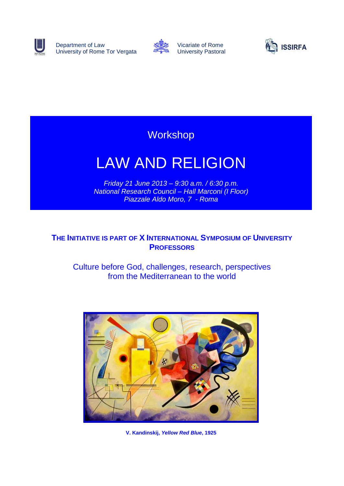

Department of Law University of Rome Tor Vergata



Vicariate of Rome University Pastoral



## **Workshop**

# LAW AND RELIGION

*Friday 21 June 2013 – 9:30 a.m. / 6:30 p.m. National Research Council – Hall Marconi (I Floor) Piazzale Aldo Moro, 7 - Roma*

## **THE INITIATIVE IS PART OF X INTERNATIONAL SYMPOSIUM OF UNIVERSITY PROFESSORS**

Culture before God, challenges, research, perspectives from the Mediterranean to the world



**V. Kandinskij,** *Yellow Red Blue***, 1925**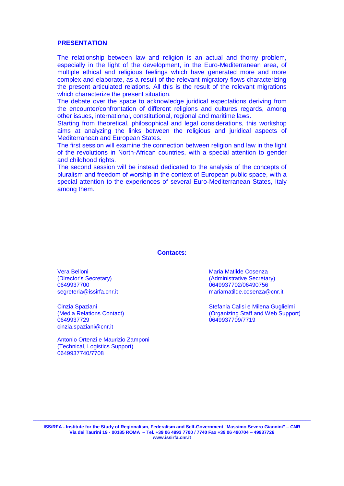#### **PRESENTATION**

The relationship between law and religion is an actual and thorny problem, especially in the light of the development, in the Euro-Mediterranean area, of multiple ethical and religious feelings which have generated more and more complex and elaborate, as a result of the relevant migratory flows characterizing the present articulated relations. All this is the result of the relevant migrations which characterize the present situation.

The debate over the space to acknowledge juridical expectations deriving from the encounter/confrontation of different religions and cultures regards, among other issues, international, constitutional, regional and maritime laws.

Starting from theoretical, philosophical and legal considerations, this workshop aims at analyzing the links between the religious and juridical aspects of Mediterranean and European States.

The first session will examine the connection between religion and law in the light of the revolutions in North-African countries, with a special attention to gender and childhood rights.

The second session will be instead dedicated to the analysis of the concepts of pluralism and freedom of worship in the context of European public space, with a special attention to the experiences of several Euro-Mediterranean States, Italy among them.

#### **Contacts:**

Vera Belloni (Director's Secretary) 0649937700 segreteria@issirfa.cnr.it

Cinzia Spaziani (Media Relations Contact) 0649937729 [cinzia.spaziani@cnr.it](mailto:cinzia.spaziani@cnr.it)

Antonio Ortenzi e Maurizio Zamponi (Technical, Logistics Support) 0649937740/7708

Maria Matilde Cosenza (Administrative Secretary) 0649937702/06490756 mariamatilde.cosenza@cnr.it

Stefania Calisi e Milena Guglielmi (Organizing Staff and Web Support) 0649937709/7719

**\_\_\_\_\_\_\_\_\_\_\_\_\_\_\_\_\_\_\_\_\_\_\_\_\_\_\_\_\_\_\_\_\_\_\_\_\_\_\_\_\_\_\_\_\_\_\_\_\_\_\_\_\_\_\_\_\_\_\_\_\_\_\_\_\_\_\_\_\_\_\_\_\_\_\_\_\_\_\_\_\_\_\_\_\_\_\_\_\_\_\_\_\_\_\_\_\_\_\_\_\_\_\_\_\_\_\_\_**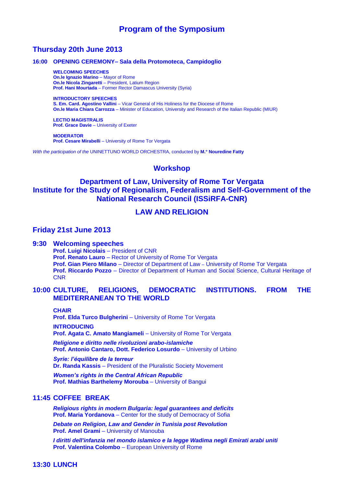## **Program of the Symposium**

## **Thursday 20th June 2013**

#### **16:00 OPENING CEREMONY– Sala della Protomoteca, Campidoglio**

**WELCOMING SPEECHES On.le Ignazio Marino** – Mayor of Rome **On.le Nicola Zingaretti** – President, Latium Region **Prof. Hani Mourtada** – Former Rector Damascus University (Syria)

**INTRODUCTORY SPEECHES S. Em. Card. Agostino Vallini** – Vicar General of His Holiness for the Diocese of Rome **On.le Maria Chiara Carrozza** – Minister of Education, University and Research of the Italian Republic (MIUR)

**LECTIO MAGISTRALIS Prof. Grace Davie** – University of Exeter

**MODERATOR Prof. Cesare Mirabelli** – University of Rome Tor Vergata

*With the participation of the* UNINETTUNO WORLD ORCHESTRA, conducted by **M.° Nouredine Fatty**

#### **Workshop**

## **Department of Law, University of Rome Tor Vergata Institute for the Study of Regionalism, Federalism and Self-Government of the National Research Council (ISSiRFA-CNR)**

### **LAW AND RELIGION**

#### **Friday 21st June 2013**

#### **9:30 Welcoming speeches**

**Prof. Luigi Nicolais** – President of CNR **Prof. Renato Lauro** – Rector of University of Rome Tor Vergata **Prof. Gian Piero Milano** – Director of Department of Law – University of Rome Tor Vergata **Prof. Riccardo Pozzo** – Director of Department of Human and Social Science, Cultural Heritage of **CNR** 

#### **10:00 CULTURE, RELIGIONS, DEMOCRATIC INSTITUTIONS. FROM THE MEDITERRANEAN TO THE WORLD**

**CHAIR**

**Prof. Elda Turco Bulgherini** – University of Rome Tor Vergata

**INTRODUCING Prof. Agata C. Amato Mangiameli** – University of Rome Tor Vergata

*Religione e diritto nelle rivoluzioni arabo-islamiche* **Prof. Antonio Cantaro, Dott. Federico Losurdo** – University of Urbino

*Syrie: l'équilibre de la terreur* **Dr. Randa Kassis** – President of the Pluralistic Society Movement

*Women's rights in the Central African Republic* **Prof. Mathias Barthelemy Morouba** – University of Bangui

#### **11:45 COFFEE BREAK**

*Religious rights in modern Bulgaria: legal guarantees and deficits* **Prof. Maria Yordanova** – Center for the study of Democracy of Sofia

*Debate on Religion, Law and Gender in Tunisia post Revolution* **Prof. Amel Grami** – University of Manouba

*I diritti dell'infanzia nel mondo islamico e la legge Wadima negli Emirati arabi uniti* **Prof. Valentina Colombo** – European University of Rome

#### **13:30 LUNCH**